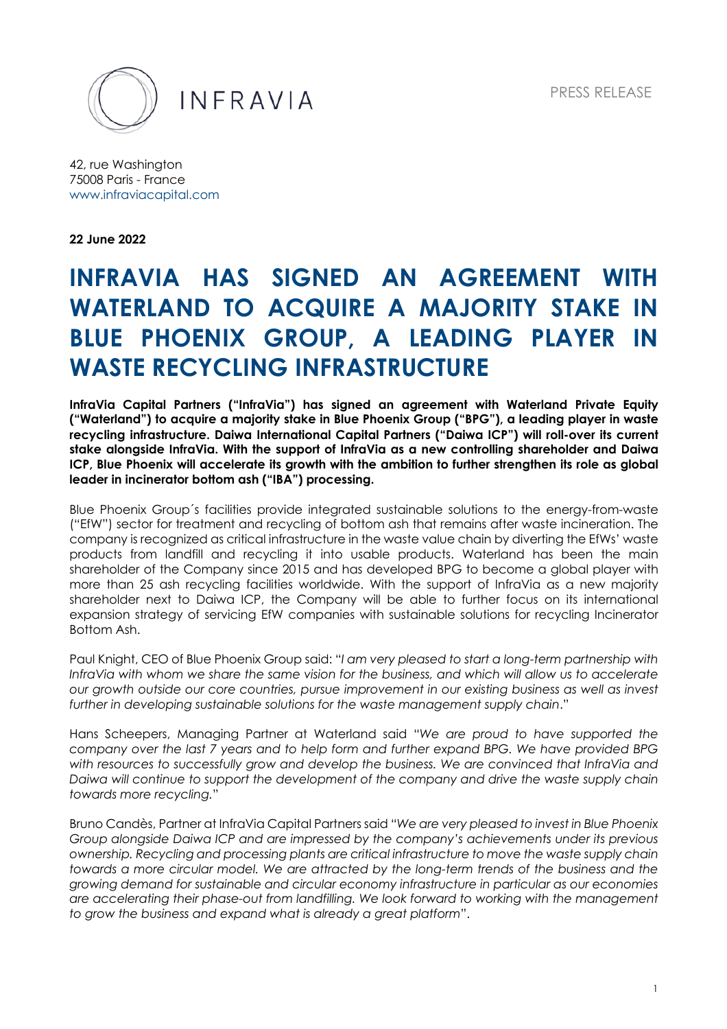PRESS RELEASE



INFRAVIA

42, rue Washington 75008 Paris - France www.infraviacapital.com

**22 June 2022**

# **INFRAVIA HAS SIGNED AN AGREEMENT WITH WATERLAND TO ACQUIRE A MAJORITY STAKE IN BLUE PHOENIX GROUP, A LEADING PLAYER IN WASTE RECYCLING INFRASTRUCTURE**

**InfraVia Capital Partners ("InfraVia") has signed an agreement with Waterland Private Equity ("Waterland") to acquire a majority stake in Blue Phoenix Group ("BPG"), a leading player in waste recycling infrastructure. Daiwa International Capital Partners ("Daiwa ICP") will roll-over its current stake alongside InfraVia. With the support of InfraVia as a new controlling shareholder and Daiwa ICP, Blue Phoenix will accelerate its growth with the ambition to further strengthen its role as global leader in incinerator bottom ash ("IBA") processing.**

Blue Phoenix Group´s facilities provide integrated sustainable solutions to the energy-from-waste ("EfW") sector for treatment and recycling of bottom ash that remains after waste incineration. The company is recognized as critical infrastructure in the waste value chain by diverting the EfWs' waste products from landfill and recycling it into usable products. Waterland has been the main shareholder of the Company since 2015 and has developed BPG to become a global player with more than 25 ash recycling facilities worldwide. With the support of InfraVia as a new majority shareholder next to Daiwa ICP, the Company will be able to further focus on its international expansion strategy of servicing EfW companies with sustainable solutions for recycling Incinerator Bottom Ash.

Paul Knight, CEO of Blue Phoenix Group said: "*I am very pleased to start a long-term partnership with InfraVia with whom we share the same vision for the business, and which will allow us to accelerate our growth outside our core countries, pursue improvement in our existing business as well as invest further in developing sustainable solutions for the waste management supply chain*."

Hans Scheepers, Managing Partner at Waterland said "*We are proud to have supported the company over the last 7 years and to help form and further expand BPG. We have provided BPG with resources to successfully grow and develop the business. We are convinced that InfraVia and Daiwa will continue to support the development of the company and drive the waste supply chain towards more recycling.*"

Bruno Candès, Partner at InfraVia Capital Partners said "*We are very pleased to invest in Blue Phoenix Group alongside Daiwa ICP and are impressed by the company's achievements under its previous ownership. Recycling and processing plants are critical infrastructure to move the waste supply chain towards a more circular model. We are attracted by the long-term trends of the business and the growing demand for sustainable and circular economy infrastructure in particular as our economies are accelerating their phase-out from landfilling. We look forward to working with the management to grow the business and expand what is already a great platform*".